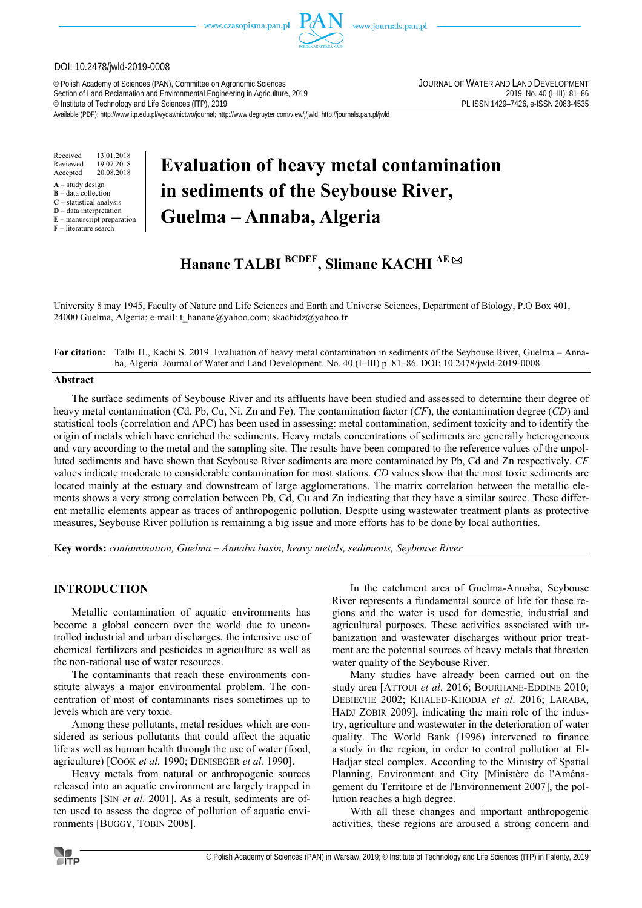www.czasopisma.pan.pl



#### DOI: 10.2478/jwld-2019-0008

© Polish Academy of Sciences (PAN), Committee on Agronomic Sciences JOURNAL OF WATER AND LAND DEVELOPMENT Section of Land Reclamation and Environmental Engineering in Agriculture, 2019<br>
© Institute of Technology and Life Sciences (ITP), 2019<br>
© INSSN 1429-7426, e-ISSN 2083-4535 <sup>©</sup> Institute of Technology and Life Sciences (ITP), 2019

Available (PDF): http://www.itp.edu.pl/wydawnictwo/journal; http://www.degruyter.com/view/j/jwld; http://journals.pan.pl/jwld

Received 13.01.2018 Reviewed 19.07.2018<br>Accepted 20.08.2018 20.08.2018

- $A -$ study design
- **B** data collection **C** – statistical analysis

**D** – data interpretation

**E** – manuscript preparation

**F** – literature search

# **Evaluation of heavy metal contamination in sediments of the Seybouse River, Guelma – Annaba, Algeria**

# **Hanane TALBI BCDEF, Slimane KACHI AE**

University 8 may 1945, Faculty of Nature and Life Sciences and Earth and Universe Sciences, Department of Biology, P.O Box 401, 24000 Guelma, Algeria; e-mail: t\_hanane@yahoo.com; skachidz@yahoo.fr

**For citation:** Talbi H., Kachi S. 2019. Evaluation of heavy metal contamination in sediments of the Seybouse River, Guelma – Annaba, Algeria. Journal of Water and Land Development. No. 40 (I–III) p. 81–86. DOI: 10.2478/jwld-2019-0008.

#### **Abstract**

The surface sediments of Seybouse River and its affluents have been studied and assessed to determine their degree of heavy metal contamination (Cd, Pb, Cu, Ni, Zn and Fe). The contamination factor (*CF*), the contamination degree (*CD*) and statistical tools (correlation and APC) has been used in assessing: metal contamination, sediment toxicity and to identify the origin of metals which have enriched the sediments. Heavy metals concentrations of sediments are generally heterogeneous and vary according to the metal and the sampling site. The results have been compared to the reference values of the unpolluted sediments and have shown that Seybouse River sediments are more contaminated by Pb, Cd and Zn respectively. *CF* values indicate moderate to considerable contamination for most stations. *CD* values show that the most toxic sediments are located mainly at the estuary and downstream of large agglomerations. The matrix correlation between the metallic elements shows a very strong correlation between Pb, Cd, Cu and Zn indicating that they have a similar source. These different metallic elements appear as traces of anthropogenic pollution. Despite using wastewater treatment plants as protective measures, Seybouse River pollution is remaining a big issue and more efforts has to be done by local authorities.

**Key words:** *contamination, Guelma – Annaba basin, heavy metals, sediments, Seybouse River* 

### **INTRODUCTION**

Metallic contamination of aquatic environments has become a global concern over the world due to uncontrolled industrial and urban discharges, the intensive use of chemical fertilizers and pesticides in agriculture as well as the non-rational use of water resources.

The contaminants that reach these environments constitute always a major environmental problem. The concentration of most of contaminants rises sometimes up to levels which are very toxic.

Among these pollutants, metal residues which are considered as serious pollutants that could affect the aquatic life as well as human health through the use of water (food, agriculture) [COOK *et al.* 1990; DENISEGER *et al.* 1990].

Heavy metals from natural or anthropogenic sources released into an aquatic environment are largely trapped in sediments [SIN *et al*. 2001]. As a result, sediments are often used to assess the degree of pollution of aquatic environments [BUGGY, TOBIN 2008].

In the catchment area of Guelma-Annaba, Seybouse River represents a fundamental source of life for these regions and the water is used for domestic, industrial and agricultural purposes. These activities associated with urbanization and wastewater discharges without prior treatment are the potential sources of heavy metals that threaten water quality of the Seybouse River.

Many studies have already been carried out on the study area [ATTOUI *et al*. 2016; BOURHANE-EDDINE 2010; DEBIECHE 2002; KHALED-KHODJA *et al*. 2016; LARABA, HADJ ZOBIR 2009], indicating the main role of the industry, agriculture and wastewater in the deterioration of water quality. The World Bank (1996) intervened to finance a study in the region, in order to control pollution at El-Hadjar steel complex. According to the Ministry of Spatial Planning, Environment and City [Ministère de l'Aménagement du Territoire et de l'Environnement 2007], the pollution reaches a high degree.

With all these changes and important anthropogenic activities, these regions are aroused a strong concern and

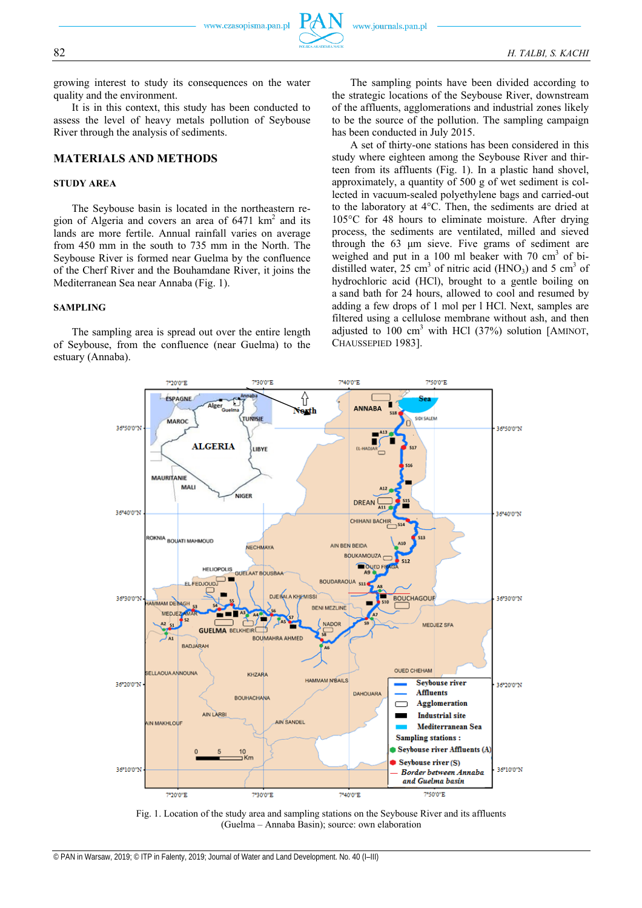growing interest to study its consequences on the water quality and the environment.

It is in this context, this study has been conducted to assess the level of heavy metals pollution of Seybouse River through the analysis of sediments.

## **MATERIALS AND METHODS**

#### **STUDY AREA**

The Seybouse basin is located in the northeastern region of Algeria and covers an area of  $6471 \text{ km}^2$  and its lands are more fertile. Annual rainfall varies on average from 450 mm in the south to 735 mm in the North. The Seybouse River is formed near Guelma by the confluence of the Cherf River and the Bouhamdane River, it joins the Mediterranean Sea near Annaba (Fig. 1).

#### **SAMPLING**

The sampling area is spread out over the entire length of Seybouse, from the confluence (near Guelma) to the estuary (Annaba).

The sampling points have been divided according to the strategic locations of the Seybouse River, downstream of the affluents, agglomerations and industrial zones likely to be the source of the pollution. The sampling campaign has been conducted in July 2015.

A set of thirty-one stations has been considered in this study where eighteen among the Seybouse River and thirteen from its affluents (Fig. 1). In a plastic hand shovel, approximately, a quantity of 500 g of wet sediment is collected in vacuum-sealed polyethylene bags and carried-out to the laboratory at 4°C. Then, the sediments are dried at 105°C for 48 hours to eliminate moisture. After drying process, the sediments are ventilated, milled and sieved through the 63 μm sieve. Five grams of sediment are weighed and put in a 100 ml beaker with 70  $\text{cm}^3$  of bidistilled water, 25 cm<sup>3</sup> of nitric acid (HNO<sub>3</sub>) and 5 cm<sup>3</sup> of hydrochloric acid (HCl), brought to a gentle boiling on a sand bath for 24 hours, allowed to cool and resumed by adding a few drops of 1 mol per l HCl. Next, samples are filtered using a cellulose membrane without ash, and then adjusted to  $100 \text{ cm}^3$  with HCl (37%) solution [AMINOT, CHAUSSEPIED 1983].



Fig. 1. Location of the study area and sampling stations on the Seybouse River and its affluents (Guelma – Annaba Basin); source: own elaboration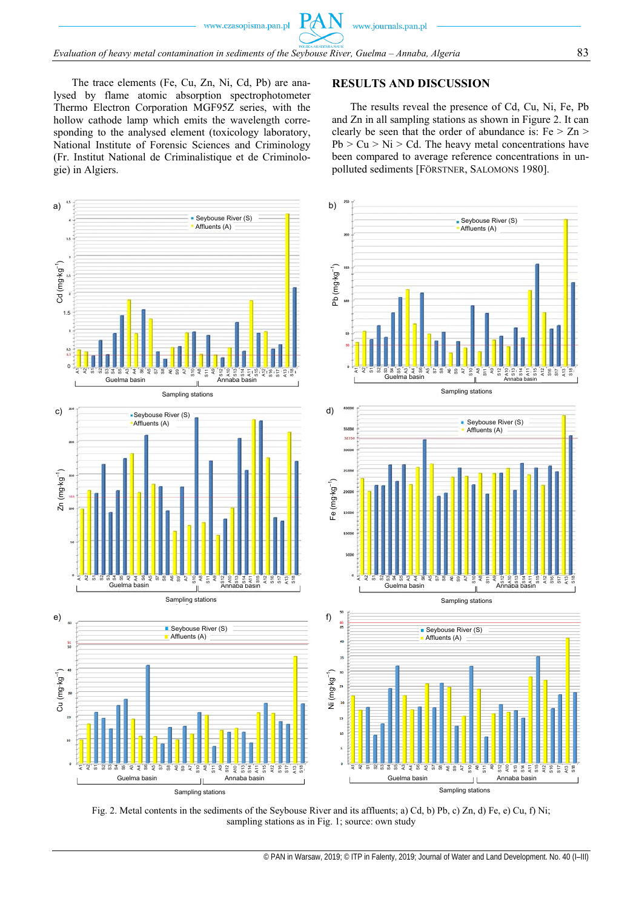www.czasopisma.pan.pl

 $Pf$ 

The trace elements (Fe, Cu, Zn, Ni, Cd, Pb) are analysed by flame atomic absorption spectrophotometer Thermo Electron Corporation MGF95Z series, with the hollow cathode lamp which emits the wavelength corresponding to the analysed element (toxicology laboratory, National Institute of Forensic Sciences and Criminology (Fr. Institut National de Criminalistique et de Criminologie) in Algiers.

# **RESULTS AND DISCUSSION**

The results reveal the presence of Cd, Cu, Ni, Fe, Pb and Zn in all sampling stations as shown in Figure 2. It can clearly be seen that the order of abundance is:  $Fe > Zn >$  $Pb > Cu > Ni > Cd$ . The heavy metal concentrations have been compared to average reference concentrations in unpolluted sediments [FÖRSTNER, SALOMONS 1980].



Fig. 2. Metal contents in the sediments of the Seybouse River and its affluents; a) Cd, b) Pb, c) Zn, d) Fe, e) Cu, f) Ni; sampling stations as in Fig. 1; source: own study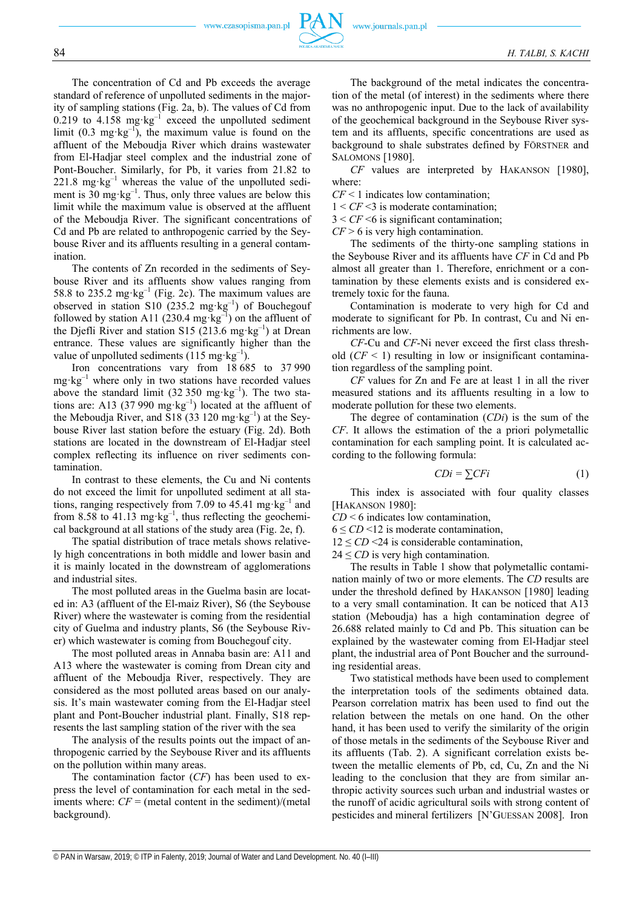The concentration of Cd and Pb exceeds the average standard of reference of unpolluted sediments in the majority of sampling stations (Fig. 2a, b). The values of Cd from 0.219 to  $4.158 \text{ mg} \cdot \text{kg}^{-1}$  exceed the unpolluted sediment limit  $(0.3 \text{ mg} \cdot \text{kg}^{-1})$ , the maximum value is found on the affluent of the Meboudja River which drains wastewater from El-Hadjar steel complex and the industrial zone of Pont-Boucher. Similarly, for Pb, it varies from 21.82 to  $221.8 \text{ mg} \cdot \text{kg}^{-1}$  whereas the value of the unpolluted sediment is  $30 \text{ mg} \cdot \text{kg}^{-1}$ . Thus, only three values are below this limit while the maximum value is observed at the affluent of the Meboudja River. The significant concentrations of Cd and Pb are related to anthropogenic carried by the Seybouse River and its affluents resulting in a general contamination.

The contents of Zn recorded in the sediments of Seybouse River and its affluents show values ranging from 58.8 to 235.2 mg·kg<sup>-1</sup> (Fig. 2c). The maximum values are observed in station S10 (235.2 mg·kg<sup>-1</sup>) of Bouchegouf followed by station A11 (230.4 mg·kg<sup>-1</sup>) on the affluent of the Djefli River and station S15 (213.6 mg·kg<sup>-1</sup>) at Drean entrance. These values are significantly higher than the value of unpolluted sediments  $(115 \text{ mg} \cdot \text{kg}^{-1})$ .

Iron concentrations vary from 18 685 to 37 990  $mg \cdot kg^{-1}$  where only in two stations have recorded values above the standard limit (32 350 mg·kg<sup>-1</sup>). The two stations are: A13 (37 990 mg·kg<sup>-1</sup>) located at the affluent of the Meboudja River, and S18 (33 120 mg·kg<sup>-1</sup>) at the Seybouse River last station before the estuary (Fig. 2d). Both stations are located in the downstream of El-Hadjar steel complex reflecting its influence on river sediments contamination.

In contrast to these elements, the Cu and Ni contents do not exceed the limit for unpolluted sediment at all stations, ranging respectively from 7.09 to 45.41 mg·kg<sup>-1</sup> and from 8.58 to 41.13 mg·kg<sup>-1</sup>, thus reflecting the geochemical background at all stations of the study area (Fig. 2e, f).

The spatial distribution of trace metals shows relatively high concentrations in both middle and lower basin and it is mainly located in the downstream of agglomerations and industrial sites.

The most polluted areas in the Guelma basin are located in: A3 (affluent of the El-maiz River), S6 (the Seybouse River) where the wastewater is coming from the residential city of Guelma and industry plants, S6 (the Seybouse River) which wastewater is coming from Bouchegouf city.

The most polluted areas in Annaba basin are: A11 and A13 where the wastewater is coming from Drean city and affluent of the Meboudja River, respectively. They are considered as the most polluted areas based on our analysis. It's main wastewater coming from the El-Hadjar steel plant and Pont-Boucher industrial plant. Finally, S18 represents the last sampling station of the river with the sea

The analysis of the results points out the impact of anthropogenic carried by the Seybouse River and its affluents on the pollution within many areas.

The contamination factor (*CF*) has been used to express the level of contamination for each metal in the sediments where:  $CF =$  (metal content in the sediment)/(metal background).

The background of the metal indicates the concentration of the metal (of interest) in the sediments where there was no anthropogenic input. Due to the lack of availability of the geochemical background in the Seybouse River system and its affluents, specific concentrations are used as background to shale substrates defined by FÖRSTNER and SALOMONS [1980].

*CF* values are interpreted by HAKANSON [1980], where:

*CF* < 1 indicates low contamination;

1 < *CF* <3 is moderate contamination;

3 < *CF* <6 is significant contamination;

*CF* > 6 is very high contamination.

The sediments of the thirty-one sampling stations in the Seybouse River and its affluents have *CF* in Cd and Pb almost all greater than 1. Therefore, enrichment or a contamination by these elements exists and is considered extremely toxic for the fauna.

Contamination is moderate to very high for Cd and moderate to significant for Pb. In contrast, Cu and Ni enrichments are low.

*CF*-Cu and *CF*-Ni never exceed the first class threshold  $(CF \leq 1)$  resulting in low or insignificant contamination regardless of the sampling point.

*CF* values for Zn and Fe are at least 1 in all the river measured stations and its affluents resulting in a low to moderate pollution for these two elements.

The degree of contamination (*CDi*) is the sum of the *CF*. It allows the estimation of the a priori polymetallic contamination for each sampling point. It is calculated according to the following formula:

$$
CDi = \sum CFi \tag{1}
$$

This index is associated with four quality classes [HAKANSON 1980]:

*CD* < 6 indicates low contamination,

 $6 \leq CD \leq 12$  is moderate contamination,

 $12 \leq CD \leq 24$  is considerable contamination,

 $24 \leq CD$  is very high contamination.

The results in Table 1 show that polymetallic contamination mainly of two or more elements. The *CD* results are under the threshold defined by HAKANSON [1980] leading to a very small contamination. It can be noticed that A13 station (Meboudja) has a high contamination degree of 26.688 related mainly to Cd and Pb. This situation can be explained by the wastewater coming from El-Hadjar steel plant, the industrial area of Pont Boucher and the surrounding residential areas.

Two statistical methods have been used to complement the interpretation tools of the sediments obtained data. Pearson correlation matrix has been used to find out the relation between the metals on one hand. On the other hand, it has been used to verify the similarity of the origin of those metals in the sediments of the Seybouse River and its affluents (Tab. 2). A significant correlation exists between the metallic elements of Pb, cd, Cu, Zn and the Ni leading to the conclusion that they are from similar anthropic activity sources such urban and industrial wastes or the runoff of acidic agricultural soils with strong content of pesticides and mineral fertilizers [N'GUESSAN 2008]. Iron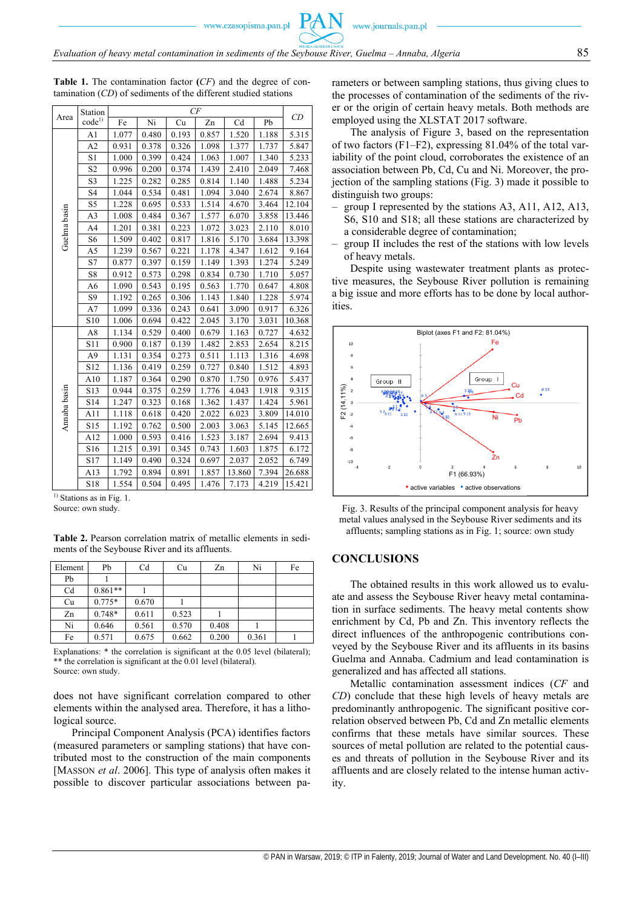www.czasopisma.pan.pl

| Area         | Station<br>$code^{1)}$ | CF    |       |       |       |        |       |        |
|--------------|------------------------|-------|-------|-------|-------|--------|-------|--------|
|              |                        | Fe    | Ni    | Cu    | Zn    | Cd     | Pb    | CD     |
| Guelma basin | A <sub>1</sub>         | 1.077 | 0.480 | 0.193 | 0.857 | 1.520  | 1.188 | 5.315  |
|              | A2                     | 0.931 | 0.378 | 0.326 | 1.098 | 1.377  | 1.737 | 5.847  |
|              | S1                     | 1.000 | 0.399 | 0.424 | 1.063 | 1.007  | 1.340 | 5.233  |
|              | S <sub>2</sub>         | 0.996 | 0.200 | 0.374 | 1.439 | 2.410  | 2.049 | 7.468  |
|              | S <sub>3</sub>         | 1.225 | 0.282 | 0.285 | 0.814 | 1.140  | 1.488 | 5.234  |
|              | S4                     | 1.044 | 0.534 | 0.481 | 1.094 | 3.040  | 2.674 | 8.867  |
|              | S5                     | 1.228 | 0.695 | 0.533 | 1.514 | 4.670  | 3.464 | 12.104 |
|              | A3                     | 1.008 | 0.484 | 0.367 | 1.577 | 6.070  | 3.858 | 13.446 |
|              | A4                     | 1.201 | 0.381 | 0.223 | 1.072 | 3.023  | 2.110 | 8.010  |
|              | S6                     | 1.509 | 0.402 | 0.817 | 1.816 | 5.170  | 3.684 | 13.398 |
|              | A5                     | 1.239 | 0.567 | 0.221 | 1.178 | 4.347  | 1.612 | 9.164  |
|              | S7                     | 0.877 | 0.397 | 0.159 | 1.149 | 1.393  | 1.274 | 5.249  |
|              | S8                     | 0.912 | 0.573 | 0.298 | 0.834 | 0.730  | 1.710 | 5.057  |
|              | A6                     | 1.090 | 0.543 | 0.195 | 0.563 | 1.770  | 0.647 | 4.808  |
|              | S9                     | 1.192 | 0.265 | 0.306 | 1.143 | 1.840  | 1.228 | 5.974  |
|              | A7                     | 1.099 | 0.336 | 0.243 | 0.641 | 3.090  | 0.917 | 6.326  |
|              | S10                    | 1.006 | 0.694 | 0.422 | 2.045 | 3.170  | 3.031 | 10.368 |
| Annaba basin | A8                     | 1.134 | 0.529 | 0.400 | 0.679 | 1.163  | 0.727 | 4.632  |
|              | S11                    | 0.900 | 0.187 | 0.139 | 1.482 | 2.853  | 2.654 | 8.215  |
|              | A <sub>9</sub>         | 1.131 | 0.354 | 0.273 | 0.511 | 1.113  | 1.316 | 4.698  |
|              | S <sub>12</sub>        | 1.136 | 0.419 | 0.259 | 0.727 | 0.840  | 1.512 | 4.893  |
|              | A10                    | 1.187 | 0.364 | 0.290 | 0.870 | 1.750  | 0.976 | 5.437  |
|              | S13                    | 0.944 | 0.375 | 0.259 | 1.776 | 4.043  | 1.918 | 9.315  |
|              | S14                    | 1.247 | 0.323 | 0.168 | 1.362 | 1.437  | 1.424 | 5.961  |
|              | A11                    | 1.118 | 0.618 | 0.420 | 2.022 | 6.023  | 3.809 | 14.010 |
|              | S15                    | 1.192 | 0.762 | 0.500 | 2.003 | 3.063  | 5.145 | 12.665 |
|              | A12                    | 1.000 | 0.593 | 0.416 | 1.523 | 3.187  | 2.694 | 9.413  |
|              | S <sub>16</sub>        | 1.215 | 0.391 | 0.345 | 0.743 | 1.603  | 1.875 | 6.172  |
|              | S17                    | 1.149 | 0.490 | 0.324 | 0.697 | 2.037  | 2.052 | 6.749  |
|              | A13                    | 1.792 | 0.894 | 0.891 | 1.857 | 13.860 | 7.394 | 26.688 |
|              | S18                    | 1.554 | 0.504 | 0.495 | 1.476 | 7.173  | 4.219 | 15.421 |

**Table 1.** The contamination factor **(***CF*) and the degree of contamination (*CD*) of sediments of the different studied stations

<sup>1)</sup> Stations as in Fig. 1.

Source: own study.

**Table 2.** Pearson correlation matrix of metallic elements in sediments of the Seybouse River and its affluents.

| Element | Pb        | Cd    | Cu    | Zn    | Ni    | Fe |
|---------|-----------|-------|-------|-------|-------|----|
| Pb      |           |       |       |       |       |    |
| Cd      | $0.861**$ |       |       |       |       |    |
| Cu      | $0.775*$  | 0.670 |       |       |       |    |
| Zn      | $0.748*$  | 0.611 | 0.523 |       |       |    |
| Ni      | 0.646     | 0.561 | 0.570 | 0.408 |       |    |
| Fe      | 0.571     | 0.675 | 0.662 | 0.200 | 0.361 |    |

Explanations: \* the correlation is significant at the 0.05 level (bilateral); \*\* the correlation is significant at the 0.01 level (bilateral). Source: own study.

does not have significant correlation compared to other elements within the analysed area. Therefore, it has a lithological source.

Principal Component Analysis (PCA) identifies factors (measured parameters or sampling stations) that have contributed most to the construction of the main components [MASSON *et al.* 2006]. This type of analysis often makes it possible to discover particular associations between parameters or between sampling stations, thus giving clues to the processes of contamination of the sediments of the river or the origin of certain heavy metals. Both methods are employed using the XLSTAT 2017 software.

The analysis of Figure 3, based on the representation of two factors  $(F1-F2)$ , expressing 81.04% of the total variability of the point cloud, corroborates the existence of an association between Pb, Cd, Cu and Ni. Moreover, the projection of the sampling stations (Fig. 3) made it possible to distinguish two groups:

- group I represented by the stations A3, A11, A12, A13, S6, S10 and S18; all these stations are characterized by a considerable degree of contamination;
- group II includes the rest of the stations with low levels of heavy metals.

Despite using wastewater treatment plants as protective measures, the Seybouse River pollution is remaining a big issue and more efforts has to be done by local authorities.



Fig. 3. Results of the principal component analysis for heavy metal values analysed in the Seybouse River sediments and its affluents; sampling stations as in Fig. 1; source: own study

#### **CONCLUSIONS**

The obtained results in this work allowed us to evaluate and assess the Seybouse River heavy metal contamination in surface sediments. The heavy metal contents show enrichment by Cd, Pb and Zn. This inventory reflects the direct influences of the anthropogenic contributions conveyed by the Seybouse River and its affluents in its basins Guelma and Annaba. Cadmium and lead contamination is generalized and has affected all stations.

Metallic contamination assessment indices (*CF* and *CD*) conclude that these high levels of heavy metals are predominantly anthropogenic. The significant positive correlation observed between Pb, Cd and Zn metallic elements confirms that these metals have similar sources. These sources of metal pollution are related to the potential causes and threats of pollution in the Seybouse River and its affluents and are closely related to the intense human activity.